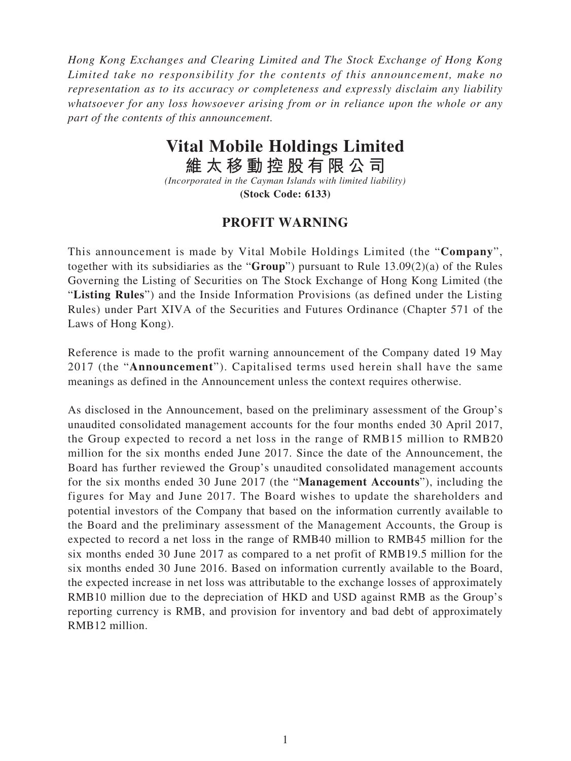*Hong Kong Exchanges and Clearing Limited and The Stock Exchange of Hong Kong Limited take no responsibility for the contents of this announcement, make no representation as to its accuracy or completeness and expressly disclaim any liability whatsoever for any loss howsoever arising from or in reliance upon the whole or any part of the contents of this announcement.*

## **Vital Mobile Holdings Limited**

**維太移動控股有限公司**

*(Incorporated in the Cayman Islands with limited liability)* **(Stock Code: 6133)**

## **PROFIT WARNING**

This announcement is made by Vital Mobile Holdings Limited (the "**Company**", together with its subsidiaries as the "**Group**") pursuant to Rule 13.09(2)(a) of the Rules Governing the Listing of Securities on The Stock Exchange of Hong Kong Limited (the "**Listing Rules**") and the Inside Information Provisions (as defined under the Listing Rules) under Part XIVA of the Securities and Futures Ordinance (Chapter 571 of the Laws of Hong Kong).

Reference is made to the profit warning announcement of the Company dated 19 May 2017 (the "**Announcement**"). Capitalised terms used herein shall have the same meanings as defined in the Announcement unless the context requires otherwise.

As disclosed in the Announcement, based on the preliminary assessment of the Group's unaudited consolidated management accounts for the four months ended 30 April 2017, the Group expected to record a net loss in the range of RMB15 million to RMB20 million for the six months ended June 2017. Since the date of the Announcement, the Board has further reviewed the Group's unaudited consolidated management accounts for the six months ended 30 June 2017 (the "**Management Accounts**"), including the figures for May and June 2017. The Board wishes to update the shareholders and potential investors of the Company that based on the information currently available to the Board and the preliminary assessment of the Management Accounts, the Group is expected to record a net loss in the range of RMB40 million to RMB45 million for the six months ended 30 June 2017 as compared to a net profit of RMB19.5 million for the six months ended 30 June 2016. Based on information currently available to the Board, the expected increase in net loss was attributable to the exchange losses of approximately RMB10 million due to the depreciation of HKD and USD against RMB as the Group's reporting currency is RMB, and provision for inventory and bad debt of approximately RMB12 million.